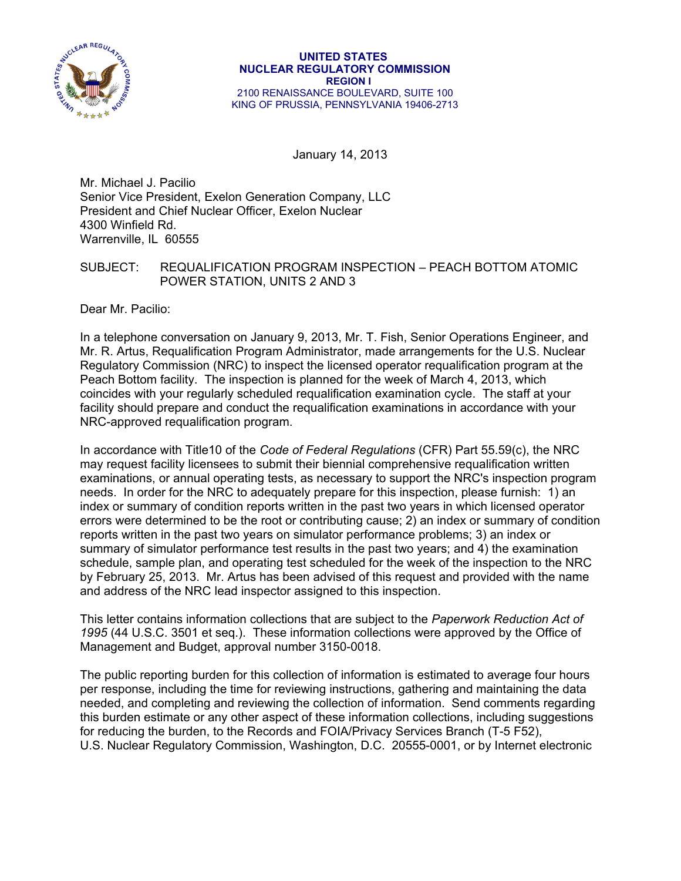

January 14, 2013

Mr. Michael J. Pacilio Senior Vice President, Exelon Generation Company, LLC President and Chief Nuclear Officer, Exelon Nuclear 4300 Winfield Rd. Warrenville, IL 60555

## SUBJECT: REQUALIFICATION PROGRAM INSPECTION – PEACH BOTTOM ATOMIC POWER STATION, UNITS 2 AND 3

Dear Mr. Pacilio:

In a telephone conversation on January 9, 2013, Mr. T. Fish, Senior Operations Engineer, and Mr. R. Artus, Requalification Program Administrator, made arrangements for the U.S. Nuclear Regulatory Commission (NRC) to inspect the licensed operator requalification program at the Peach Bottom facility. The inspection is planned for the week of March 4, 2013, which coincides with your regularly scheduled requalification examination cycle. The staff at your facility should prepare and conduct the requalification examinations in accordance with your NRC-approved requalification program.

In accordance with Title10 of the *Code of Federal Regulations* (CFR) Part 55.59(c), the NRC may request facility licensees to submit their biennial comprehensive requalification written examinations, or annual operating tests, as necessary to support the NRC's inspection program needs. In order for the NRC to adequately prepare for this inspection, please furnish: 1) an index or summary of condition reports written in the past two years in which licensed operator errors were determined to be the root or contributing cause; 2) an index or summary of condition reports written in the past two years on simulator performance problems; 3) an index or summary of simulator performance test results in the past two years; and 4) the examination schedule, sample plan, and operating test scheduled for the week of the inspection to the NRC by February 25, 2013. Mr. Artus has been advised of this request and provided with the name and address of the NRC lead inspector assigned to this inspection.

This letter contains information collections that are subject to the *Paperwork Reduction Act of 1995* (44 U.S.C. 3501 et seq.). These information collections were approved by the Office of Management and Budget, approval number 3150-0018.

The public reporting burden for this collection of information is estimated to average four hours per response, including the time for reviewing instructions, gathering and maintaining the data needed, and completing and reviewing the collection of information. Send comments regarding this burden estimate or any other aspect of these information collections, including suggestions for reducing the burden, to the Records and FOIA/Privacy Services Branch (T-5 F52), U.S. Nuclear Regulatory Commission, Washington, D.C. 20555-0001, or by Internet electronic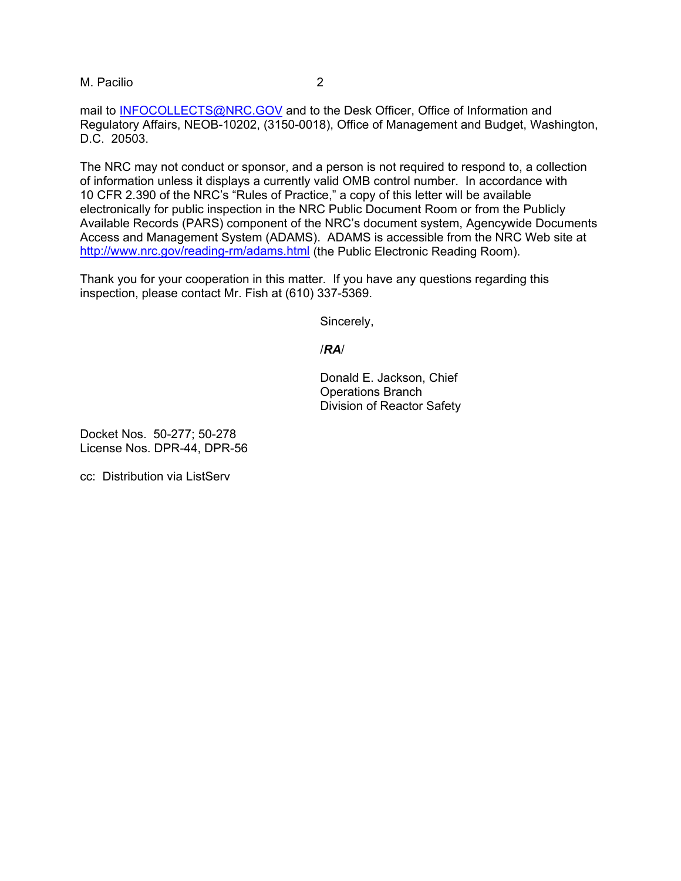M. Pacilio 2

mail to INFOCOLLECTS@NRC.GOV and to the Desk Officer, Office of Information and Regulatory Affairs, NEOB-10202, (3150-0018), Office of Management and Budget, Washington, D.C. 20503.

The NRC may not conduct or sponsor, and a person is not required to respond to, a collection of information unless it displays a currently valid OMB control number. In accordance with 10 CFR 2.390 of the NRC's "Rules of Practice," a copy of this letter will be available electronically for public inspection in the NRC Public Document Room or from the Publicly Available Records (PARS) component of the NRC's document system, Agencywide Documents Access and Management System (ADAMS). ADAMS is accessible from the NRC Web site at http://www.nrc.gov/reading-rm/adams.html (the Public Electronic Reading Room).

Thank you for your cooperation in this matter. If you have any questions regarding this inspection, please contact Mr. Fish at (610) 337-5369.

Sincerely,

## /*RA*/

Donald E. Jackson, Chief Operations Branch Division of Reactor Safety

Docket Nos. 50-277; 50-278 License Nos. DPR-44, DPR-56

cc: Distribution via ListServ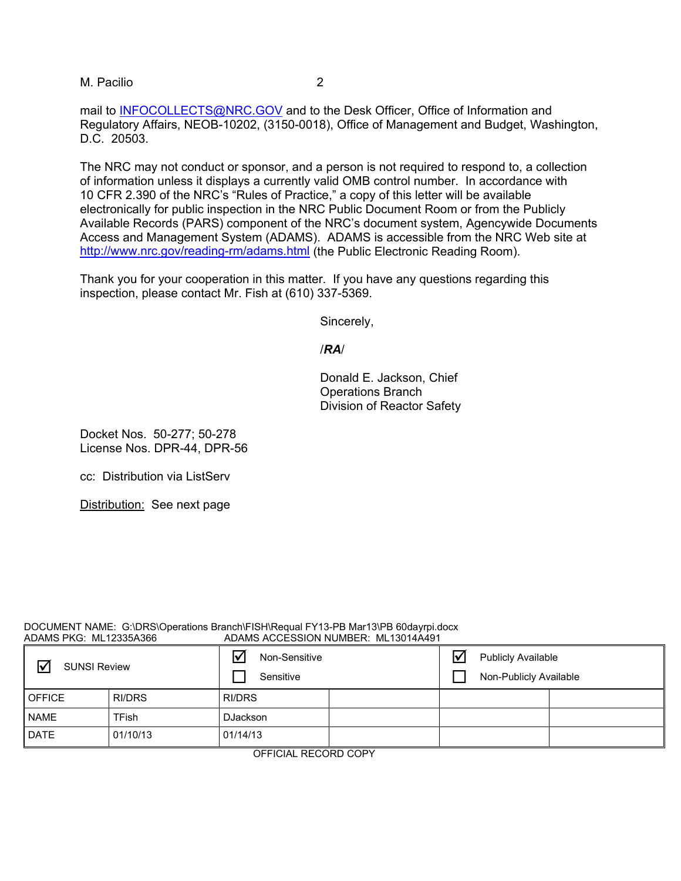M. Pacilio 2

mail to INFOCOLLECTS@NRC.GOV and to the Desk Officer, Office of Information and Regulatory Affairs, NEOB-10202, (3150-0018), Office of Management and Budget, Washington, D.C. 20503.

The NRC may not conduct or sponsor, and a person is not required to respond to, a collection of information unless it displays a currently valid OMB control number. In accordance with 10 CFR 2.390 of the NRC's "Rules of Practice," a copy of this letter will be available electronically for public inspection in the NRC Public Document Room or from the Publicly Available Records (PARS) component of the NRC's document system, Agencywide Documents Access and Management System (ADAMS). ADAMS is accessible from the NRC Web site at http://www.nrc.gov/reading-rm/adams.html (the Public Electronic Reading Room).

Thank you for your cooperation in this matter. If you have any questions regarding this inspection, please contact Mr. Fish at (610) 337-5369.

Sincerely,

/*RA*/

Donald E. Jackson, Chief Operations Branch Division of Reactor Safety

Docket Nos. 50-277; 50-278 License Nos. DPR-44, DPR-56

cc: Distribution via ListServ

Distribution: See next page

## DOCUMENT NAME: G:\DRS\Operations Branch\FISH\Requal FY13-PB Mar13\PB 60dayrpi.docx<br>ADAMS ACCESSION NUMBER: ML13014A491 ADAMS ACCESSION NUMBER: ML13014A491

| ☑<br><b>SUNSI Review</b> |          | Non-Sensitive<br>Sensitive |  | ⊽ | <b>Publicly Available</b><br>Non-Publicly Available |  |
|--------------------------|----------|----------------------------|--|---|-----------------------------------------------------|--|
| <b>OFFICE</b>            | RI/DRS   | <b>RI/DRS</b>              |  |   |                                                     |  |
| <b>NAME</b>              | TFish    | <b>DJackson</b>            |  |   |                                                     |  |
| <b>DATE</b>              | 01/10/13 | 01/14/13                   |  |   |                                                     |  |

OFFICIAL RECORD COPY